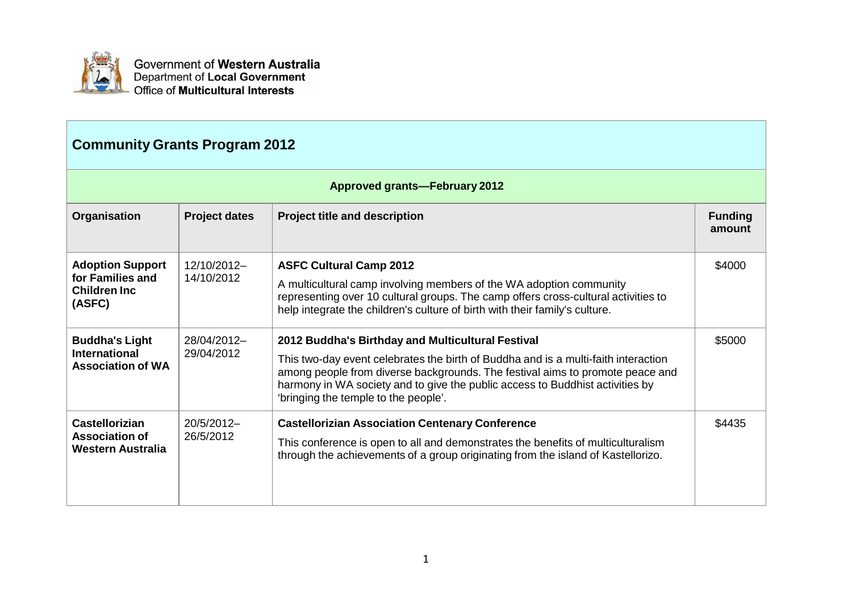

| <b>Community Grants Program 2012</b>                                          |                           |                                                                                                                                                                                                                                                                                                                                                   |                          |
|-------------------------------------------------------------------------------|---------------------------|---------------------------------------------------------------------------------------------------------------------------------------------------------------------------------------------------------------------------------------------------------------------------------------------------------------------------------------------------|--------------------------|
| <b>Approved grants-February 2012</b>                                          |                           |                                                                                                                                                                                                                                                                                                                                                   |                          |
| Organisation                                                                  | <b>Project dates</b>      | <b>Project title and description</b>                                                                                                                                                                                                                                                                                                              | <b>Funding</b><br>amount |
| <b>Adoption Support</b><br>for Families and<br><b>Children Inc.</b><br>(ASFC) | 12/10/2012-<br>14/10/2012 | <b>ASFC Cultural Camp 2012</b><br>A multicultural camp involving members of the WA adoption community<br>representing over 10 cultural groups. The camp offers cross-cultural activities to<br>help integrate the children's culture of birth with their family's culture.                                                                        | \$4000                   |
| <b>Buddha's Light</b><br><b>International</b><br><b>Association of WA</b>     | 28/04/2012-<br>29/04/2012 | 2012 Buddha's Birthday and Multicultural Festival<br>This two-day event celebrates the birth of Buddha and is a multi-faith interaction<br>among people from diverse backgrounds. The festival aims to promote peace and<br>harmony in WA society and to give the public access to Buddhist activities by<br>'bringing the temple to the people'. | \$5000                   |
| <b>Castellorizian</b><br><b>Association of</b><br><b>Western Australia</b>    | 20/5/2012-<br>26/5/2012   | <b>Castellorizian Association Centenary Conference</b><br>This conference is open to all and demonstrates the benefits of multiculturalism<br>through the achievements of a group originating from the island of Kastellorizo.                                                                                                                    | \$4435                   |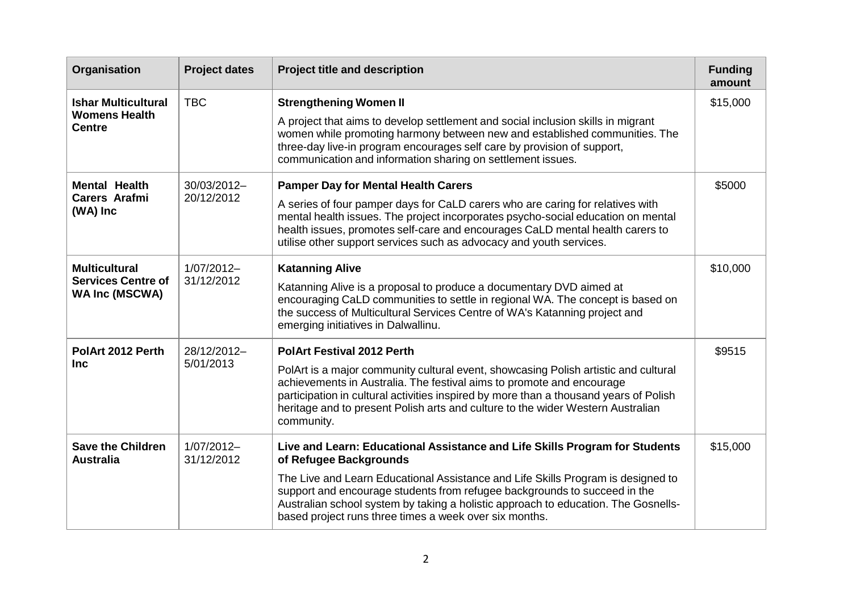| Organisation                                                               | <b>Project dates</b>      | <b>Project title and description</b>                                                                                                                                                                                                                                                                                                                                                                                   | <b>Funding</b><br>amount |
|----------------------------------------------------------------------------|---------------------------|------------------------------------------------------------------------------------------------------------------------------------------------------------------------------------------------------------------------------------------------------------------------------------------------------------------------------------------------------------------------------------------------------------------------|--------------------------|
| <b>Ishar Multicultural</b><br><b>Womens Health</b><br><b>Centre</b>        | <b>TBC</b>                | <b>Strengthening Women II</b><br>A project that aims to develop settlement and social inclusion skills in migrant<br>women while promoting harmony between new and established communities. The<br>three-day live-in program encourages self care by provision of support,<br>communication and information sharing on settlement issues.                                                                              | \$15,000                 |
| <b>Mental Health</b><br><b>Carers Arafmi</b><br>(WA) Inc                   | 30/03/2012-<br>20/12/2012 | <b>Pamper Day for Mental Health Carers</b><br>A series of four pamper days for CaLD carers who are caring for relatives with<br>mental health issues. The project incorporates psycho-social education on mental<br>health issues, promotes self-care and encourages CaLD mental health carers to<br>utilise other support services such as advocacy and youth services.                                               | \$5000                   |
| <b>Multicultural</b><br><b>Services Centre of</b><br><b>WA Inc (MSCWA)</b> | 1/07/2012-<br>31/12/2012  | <b>Katanning Alive</b><br>Katanning Alive is a proposal to produce a documentary DVD aimed at<br>encouraging CaLD communities to settle in regional WA. The concept is based on<br>the success of Multicultural Services Centre of WA's Katanning project and<br>emerging initiatives in Dalwallinu.                                                                                                                   | \$10,000                 |
| PolArt 2012 Perth<br><b>Inc</b>                                            | 28/12/2012-<br>5/01/2013  | <b>PolArt Festival 2012 Perth</b><br>PolArt is a major community cultural event, showcasing Polish artistic and cultural<br>achievements in Australia. The festival aims to promote and encourage<br>participation in cultural activities inspired by more than a thousand years of Polish<br>heritage and to present Polish arts and culture to the wider Western Australian<br>community.                            | \$9515                   |
| <b>Save the Children</b><br><b>Australia</b>                               | 1/07/2012-<br>31/12/2012  | Live and Learn: Educational Assistance and Life Skills Program for Students<br>of Refugee Backgrounds<br>The Live and Learn Educational Assistance and Life Skills Program is designed to<br>support and encourage students from refugee backgrounds to succeed in the<br>Australian school system by taking a holistic approach to education. The Gosnells-<br>based project runs three times a week over six months. | \$15,000                 |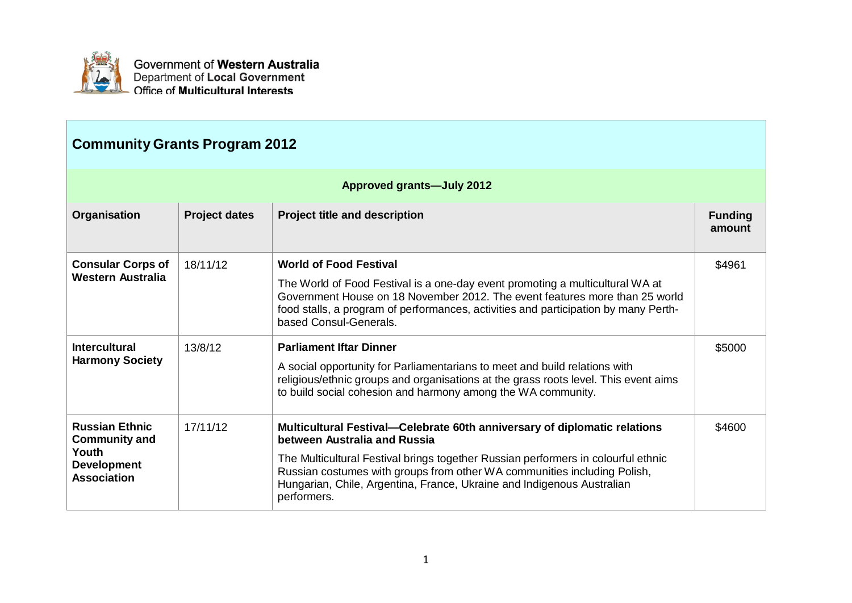

| <b>Community Grants Program 2012</b>                                                               |                      |                                                                                                                                                                                                                                                                                                                                                                     |                          |  |
|----------------------------------------------------------------------------------------------------|----------------------|---------------------------------------------------------------------------------------------------------------------------------------------------------------------------------------------------------------------------------------------------------------------------------------------------------------------------------------------------------------------|--------------------------|--|
| <b>Approved grants-July 2012</b>                                                                   |                      |                                                                                                                                                                                                                                                                                                                                                                     |                          |  |
| Organisation                                                                                       | <b>Project dates</b> | <b>Project title and description</b>                                                                                                                                                                                                                                                                                                                                | <b>Funding</b><br>amount |  |
| <b>Consular Corps of</b><br><b>Western Australia</b>                                               | 18/11/12             | <b>World of Food Festival</b><br>The World of Food Festival is a one-day event promoting a multicultural WA at<br>Government House on 18 November 2012. The event features more than 25 world<br>food stalls, a program of performances, activities and participation by many Perth-<br>based Consul-Generals.                                                      | \$4961                   |  |
| <b>Intercultural</b><br><b>Harmony Society</b>                                                     | 13/8/12              | <b>Parliament Iftar Dinner</b><br>A social opportunity for Parliamentarians to meet and build relations with<br>religious/ethnic groups and organisations at the grass roots level. This event aims<br>to build social cohesion and harmony among the WA community.                                                                                                 | \$5000                   |  |
| <b>Russian Ethnic</b><br><b>Community and</b><br>Youth<br><b>Development</b><br><b>Association</b> | 17/11/12             | Multicultural Festival-Celebrate 60th anniversary of diplomatic relations<br>between Australia and Russia<br>The Multicultural Festival brings together Russian performers in colourful ethnic<br>Russian costumes with groups from other WA communities including Polish,<br>Hungarian, Chile, Argentina, France, Ukraine and Indigenous Australian<br>performers. | \$4600                   |  |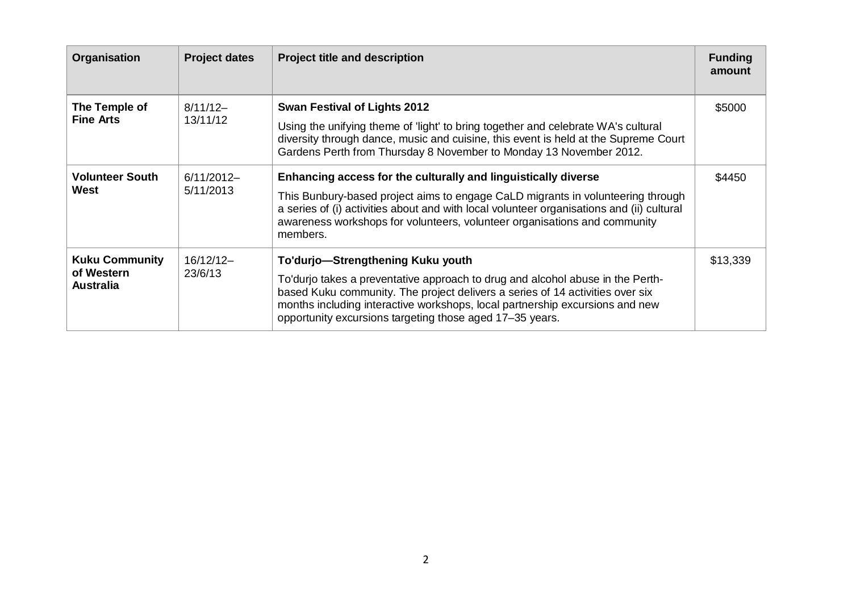| Organisation                                            | <b>Project dates</b>      | <b>Project title and description</b>                                                                                                                                                                                                                                                                                                             | <b>Funding</b><br>amount |
|---------------------------------------------------------|---------------------------|--------------------------------------------------------------------------------------------------------------------------------------------------------------------------------------------------------------------------------------------------------------------------------------------------------------------------------------------------|--------------------------|
| The Temple of<br><b>Fine Arts</b>                       | $8/11/12-$<br>13/11/12    | <b>Swan Festival of Lights 2012</b><br>Using the unifying theme of 'light' to bring together and celebrate WA's cultural<br>diversity through dance, music and cuisine, this event is held at the Supreme Court<br>Gardens Perth from Thursday 8 November to Monday 13 November 2012.                                                            | \$5000                   |
| <b>Volunteer South</b><br>West                          | $6/11/2012-$<br>5/11/2013 | Enhancing access for the culturally and linguistically diverse<br>This Bunbury-based project aims to engage CaLD migrants in volunteering through<br>a series of (i) activities about and with local volunteer organisations and (ii) cultural<br>awareness workshops for volunteers, volunteer organisations and community<br>members.          | \$4450                   |
| <b>Kuku Community</b><br>of Western<br><b>Australia</b> | $16/12/12-$<br>23/6/13    | To'durjo-Strengthening Kuku youth<br>To'durjo takes a preventative approach to drug and alcohol abuse in the Perth-<br>based Kuku community. The project delivers a series of 14 activities over six<br>months including interactive workshops, local partnership excursions and new<br>opportunity excursions targeting those aged 17-35 years. | \$13,339                 |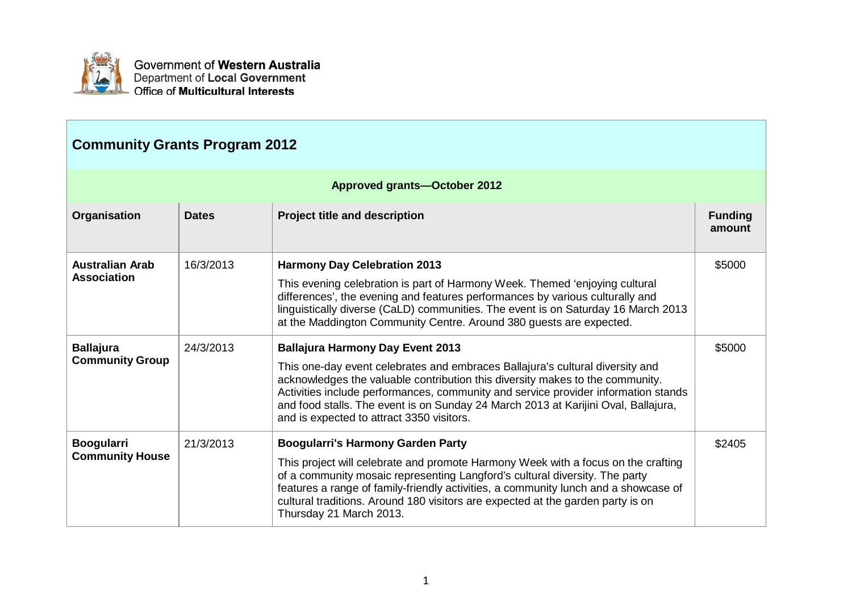

| <b>Community Grants Program 2012</b>        |              |                                                                                                                                                                                                                                                                                                                                                                                                                                    |                          |  |
|---------------------------------------------|--------------|------------------------------------------------------------------------------------------------------------------------------------------------------------------------------------------------------------------------------------------------------------------------------------------------------------------------------------------------------------------------------------------------------------------------------------|--------------------------|--|
| <b>Approved grants-October 2012</b>         |              |                                                                                                                                                                                                                                                                                                                                                                                                                                    |                          |  |
| Organisation                                | <b>Dates</b> | <b>Project title and description</b>                                                                                                                                                                                                                                                                                                                                                                                               | <b>Funding</b><br>amount |  |
| <b>Australian Arab</b><br>Association       | 16/3/2013    | <b>Harmony Day Celebration 2013</b><br>This evening celebration is part of Harmony Week. Themed 'enjoying cultural<br>differences', the evening and features performances by various culturally and<br>linguistically diverse (CaLD) communities. The event is on Saturday 16 March 2013<br>at the Maddington Community Centre. Around 380 guests are expected.                                                                    | \$5000                   |  |
| <b>Ballajura</b><br><b>Community Group</b>  | 24/3/2013    | <b>Ballajura Harmony Day Event 2013</b><br>This one-day event celebrates and embraces Ballajura's cultural diversity and<br>acknowledges the valuable contribution this diversity makes to the community.<br>Activities include performances, community and service provider information stands<br>and food stalls. The event is on Sunday 24 March 2013 at Karijini Oval, Ballajura,<br>and is expected to attract 3350 visitors. | \$5000                   |  |
| <b>Boogularri</b><br><b>Community House</b> | 21/3/2013    | <b>Boogularri's Harmony Garden Party</b><br>This project will celebrate and promote Harmony Week with a focus on the crafting<br>of a community mosaic representing Langford's cultural diversity. The party<br>features a range of family-friendly activities, a community lunch and a showcase of<br>cultural traditions. Around 180 visitors are expected at the garden party is on<br>Thursday 21 March 2013.                  | \$2405                   |  |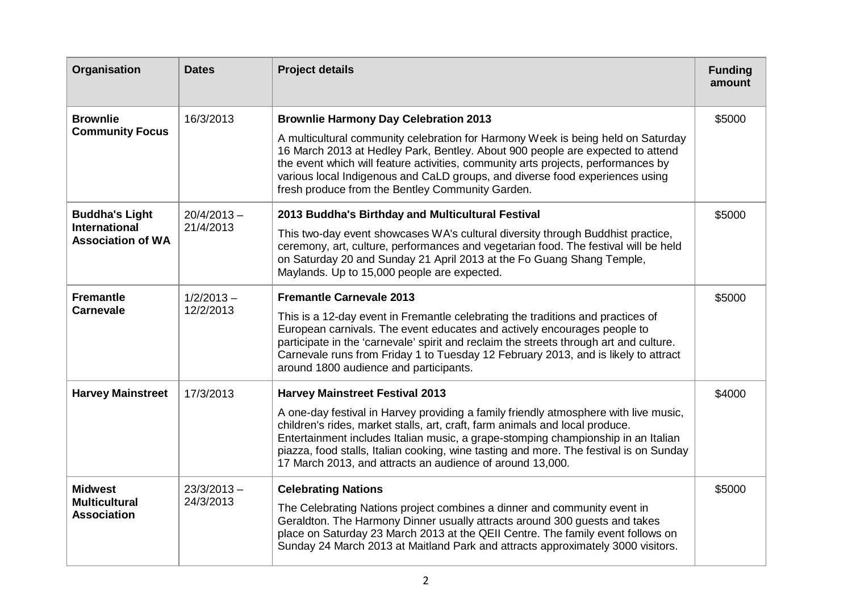| Organisation                                     | <b>Dates</b>               | <b>Project details</b>                                                                                                                                                                                                                                                                                                                                                                                           | <b>Funding</b><br>amount |
|--------------------------------------------------|----------------------------|------------------------------------------------------------------------------------------------------------------------------------------------------------------------------------------------------------------------------------------------------------------------------------------------------------------------------------------------------------------------------------------------------------------|--------------------------|
| <b>Brownlie</b><br><b>Community Focus</b>        | 16/3/2013                  | <b>Brownlie Harmony Day Celebration 2013</b><br>A multicultural community celebration for Harmony Week is being held on Saturday<br>16 March 2013 at Hedley Park, Bentley. About 900 people are expected to attend                                                                                                                                                                                               | \$5000                   |
|                                                  |                            | the event which will feature activities, community arts projects, performances by<br>various local Indigenous and CaLD groups, and diverse food experiences using<br>fresh produce from the Bentley Community Garden.                                                                                                                                                                                            |                          |
| <b>Buddha's Light</b>                            | $20/4/2013 -$              | 2013 Buddha's Birthday and Multicultural Festival                                                                                                                                                                                                                                                                                                                                                                | \$5000                   |
| <b>International</b><br><b>Association of WA</b> | 21/4/2013                  | This two-day event showcases WA's cultural diversity through Buddhist practice,<br>ceremony, art, culture, performances and vegetarian food. The festival will be held<br>on Saturday 20 and Sunday 21 April 2013 at the Fo Guang Shang Temple,<br>Maylands. Up to 15,000 people are expected.                                                                                                                   |                          |
| <b>Fremantle</b><br><b>Carnevale</b>             | $1/2/2013 -$<br>12/2/2013  | <b>Fremantle Carnevale 2013</b>                                                                                                                                                                                                                                                                                                                                                                                  | \$5000                   |
|                                                  |                            | This is a 12-day event in Fremantle celebrating the traditions and practices of<br>European carnivals. The event educates and actively encourages people to<br>participate in the 'carnevale' spirit and reclaim the streets through art and culture.<br>Carnevale runs from Friday 1 to Tuesday 12 February 2013, and is likely to attract<br>around 1800 audience and participants.                            |                          |
| <b>Harvey Mainstreet</b>                         | 17/3/2013                  | <b>Harvey Mainstreet Festival 2013</b>                                                                                                                                                                                                                                                                                                                                                                           | \$4000                   |
|                                                  |                            | A one-day festival in Harvey providing a family friendly atmosphere with live music,<br>children's rides, market stalls, art, craft, farm animals and local produce.<br>Entertainment includes Italian music, a grape-stomping championship in an Italian<br>piazza, food stalls, Italian cooking, wine tasting and more. The festival is on Sunday<br>17 March 2013, and attracts an audience of around 13,000. |                          |
| <b>Midwest</b>                                   | $23/3/2013 -$<br>24/3/2013 | <b>Celebrating Nations</b>                                                                                                                                                                                                                                                                                                                                                                                       | \$5000                   |
| <b>Multicultural</b><br><b>Association</b>       |                            | The Celebrating Nations project combines a dinner and community event in<br>Geraldton. The Harmony Dinner usually attracts around 300 guests and takes<br>place on Saturday 23 March 2013 at the QEII Centre. The family event follows on<br>Sunday 24 March 2013 at Maitland Park and attracts approximately 3000 visitors.                                                                                     |                          |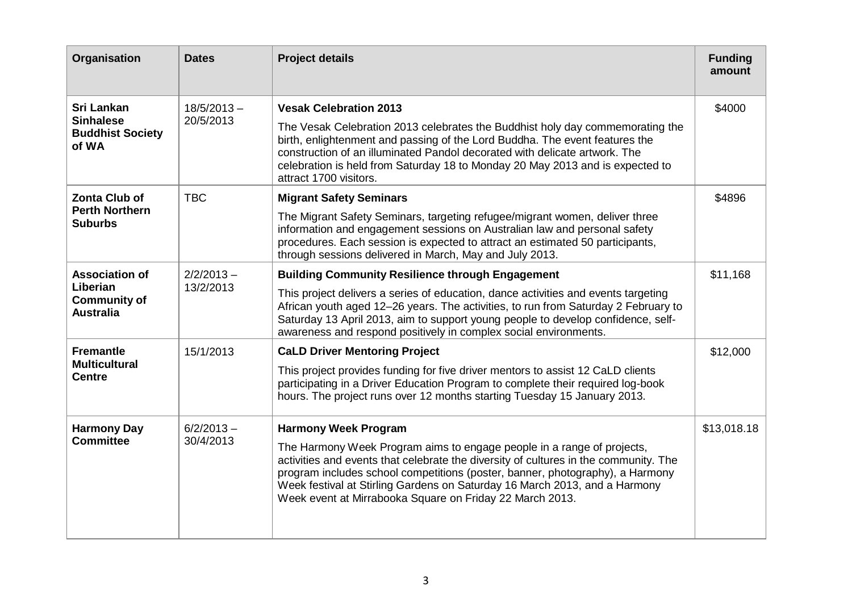| Organisation                                                                 | <b>Dates</b>               | <b>Project details</b>                                                                                                                                                                                                                                                                                                                                                                                                   | <b>Funding</b><br>amount |
|------------------------------------------------------------------------------|----------------------------|--------------------------------------------------------------------------------------------------------------------------------------------------------------------------------------------------------------------------------------------------------------------------------------------------------------------------------------------------------------------------------------------------------------------------|--------------------------|
| <b>Sri Lankan</b><br><b>Sinhalese</b><br><b>Buddhist Society</b><br>of WA    | $18/5/2013 -$<br>20/5/2013 | <b>Vesak Celebration 2013</b><br>The Vesak Celebration 2013 celebrates the Buddhist holy day commemorating the<br>birth, enlightenment and passing of the Lord Buddha. The event features the<br>construction of an illuminated Pandol decorated with delicate artwork. The<br>celebration is held from Saturday 18 to Monday 20 May 2013 and is expected to<br>attract 1700 visitors.                                   | \$4000                   |
| <b>Zonta Club of</b><br><b>Perth Northern</b><br><b>Suburbs</b>              | <b>TBC</b>                 | <b>Migrant Safety Seminars</b><br>The Migrant Safety Seminars, targeting refugee/migrant women, deliver three<br>information and engagement sessions on Australian law and personal safety<br>procedures. Each session is expected to attract an estimated 50 participants,<br>through sessions delivered in March, May and July 2013.                                                                                   | \$4896                   |
| <b>Association of</b><br>Liberian<br><b>Community of</b><br><b>Australia</b> | $2/2/2013 -$<br>13/2/2013  | <b>Building Community Resilience through Engagement</b><br>This project delivers a series of education, dance activities and events targeting<br>African youth aged 12-26 years. The activities, to run from Saturday 2 February to<br>Saturday 13 April 2013, aim to support young people to develop confidence, self-<br>awareness and respond positively in complex social environments.                              | \$11,168                 |
| <b>Fremantle</b><br><b>Multicultural</b><br><b>Centre</b>                    | 15/1/2013                  | <b>CaLD Driver Mentoring Project</b><br>This project provides funding for five driver mentors to assist 12 CaLD clients<br>participating in a Driver Education Program to complete their required log-book<br>hours. The project runs over 12 months starting Tuesday 15 January 2013.                                                                                                                                   | \$12,000                 |
| <b>Harmony Day</b><br><b>Committee</b>                                       | $6/2/2013 -$<br>30/4/2013  | <b>Harmony Week Program</b><br>The Harmony Week Program aims to engage people in a range of projects,<br>activities and events that celebrate the diversity of cultures in the community. The<br>program includes school competitions (poster, banner, photography), a Harmony<br>Week festival at Stirling Gardens on Saturday 16 March 2013, and a Harmony<br>Week event at Mirrabooka Square on Friday 22 March 2013. | \$13,018.18              |